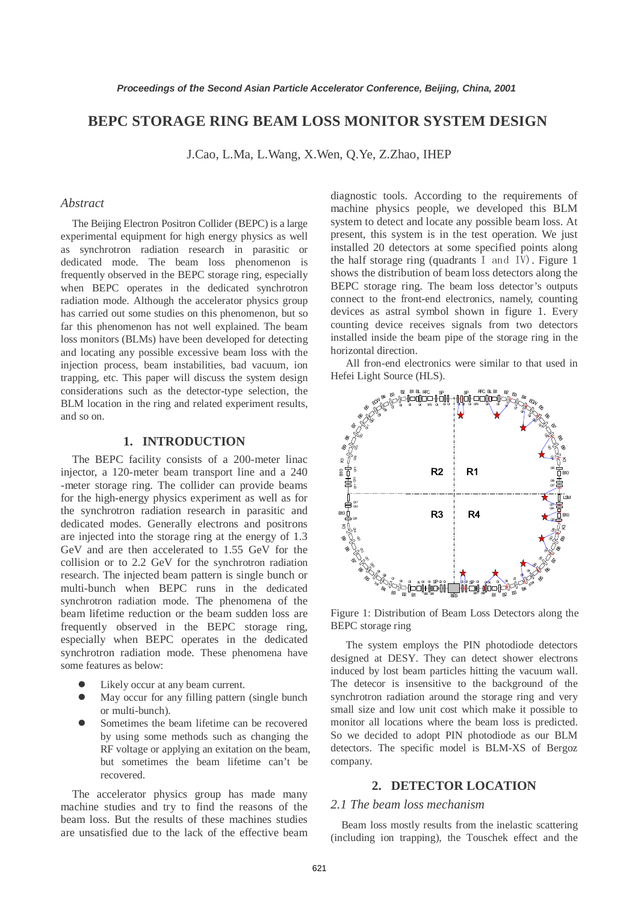# **BEPC STORAGE RING BEAM LOSS MONITOR SYSTEM DESIGN**

J.Cao, L.Ma, L.Wang, X.Wen, Q.Ye, Z.Zhao, IHEP

### *Abstract*

The Beijing Electron Positron Collider (BEPC) is a large experimental equipment for high energy physics as well as synchrotron radiation research in parasitic or dedicated mode. The beam loss phenomenon is frequently observed in the BEPC storage ring, especially when BEPC operates in the dedicated synchrotron radiation mode. Although the accelerator physics group has carried out some studies on this phenomenon, but so far this phenomenon has not well explained. The beam loss monitors (BLMs) have been developed for detecting and locating any possible excessive beam loss with the injection process, beam instabilities, bad vacuum, ion trapping, etc. This paper will discuss the system design considerations such as the detector-type selection, the BLM location in the ring and related experiment results, and so on.

## **1. INTRODUCTION**

The BEPC facility consists of a 200-meter linac injector, a 120-meter beam transport line and a 240 -meter storage ring. The collider can provide beams for the high-energy physics experiment as well as for the synchrotron radiation research in parasitic and dedicated modes. Generally electrons and positrons are injected into the storage ring at the energy of 1.3 GeV and are then accelerated to 1.55 GeV for the collision or to 2.2 GeV for the synchrotron radiation research. The injected beam pattern is single bunch or multi-bunch when BEPC runs in the dedicated synchrotron radiation mode. The phenomena of the beam lifetime reduction or the beam sudden loss are frequently observed in the BEPC storage ring, especially when BEPC operates in the dedicated synchrotron radiation mode. These phenomena have some features as below:

- Likely occur at any beam current.
- May occur for any filling pattern (single bunch or multi-bunch).
- Sometimes the beam lifetime can be recovered by using some methods such as changing the RF voltage or applying an exitation on the beam, but sometimes the beam lifetime can't be recovered.

The accelerator physics group has made many machine studies and try to find the reasons of the beam loss. But the results of these machines studies are unsatisfied due to the lack of the effective beam

diagnostic tools. According to the requirements of machine physics people, we developed this BLM system to detect and locate any possible beam loss. At present, this system is in the test operation. We just installed 20 detectors at some specified points along the half storage ring (quadrants I and IV). Figure 1 shows the distribution of beam loss detectors along the BEPC storage ring. The beam loss detector's outputs connect to the front-end electronics, namely, counting devices as astral symbol shown in figure 1. Every counting device receives signals from two detectors installed inside the beam pipe of the storage ring in the horizontal direction.

All fron-end electronics were similar to that used in Hefei Light Source (HLS).



Figure 1: Distribution of Beam Loss Detectors along the BEPC storage ring

The system employs the PIN photodiode detectors designed at DESY. They can detect shower electrons induced by lost beam particles hitting the vacuum wall. The detecor is insensitive to the background of the synchrotron radiation around the storage ring and very small size and low unit cost which make it possible to monitor all locations where the beam loss is predicted. So we decided to adopt PIN photodiode as our BLM detectors. The specific model is BLM-XS of Bergoz company.

## **2. DETECTOR LOCATION**

# *2.1 The beam loss mechanism*

Beam loss mostly results from the inelastic scattering (including ion trapping), the Touschek effect and the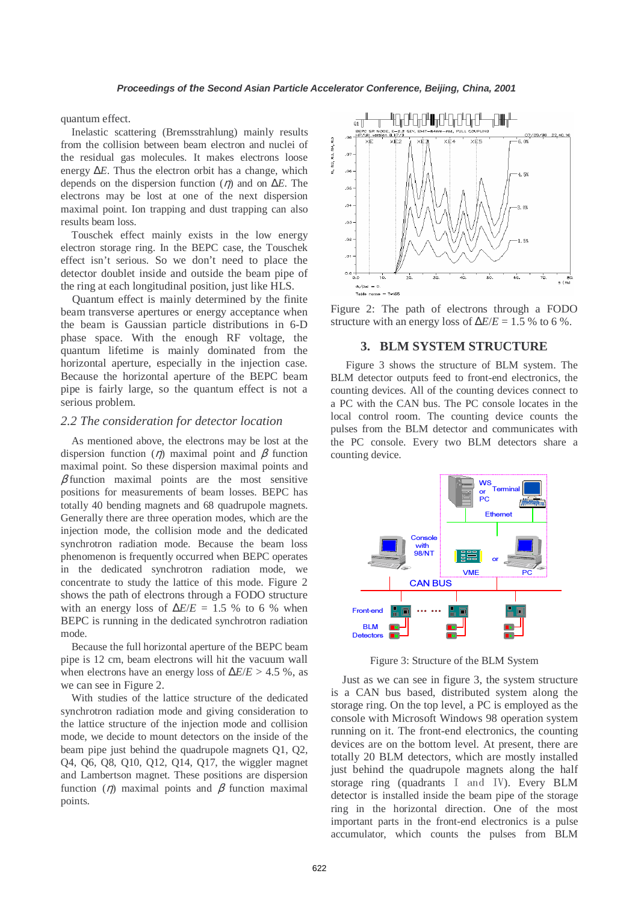quantum effect.

Inelastic scattering (Bremsstrahlung) mainly results from the collision between beam electron and nuclei of the residual gas molecules. It makes electrons loose energy ∆*E*. Thus the electron orbit has a change, which depends on the dispersion function (η) and on ∆*E*. The electrons may be lost at one of the next dispersion maximal point. Ion trapping and dust trapping can also results beam loss.

Touschek effect mainly exists in the low energy electron storage ring. In the BEPC case, the Touschek effect isn't serious. So we don't need to place the detector doublet inside and outside the beam pipe of the ring at each longitudinal position, just like HLS.

Quantum effect is mainly determined by the finite beam transverse apertures or energy acceptance when the beam is Gaussian particle distributions in 6-D phase space. With the enough RF voltage, the quantum lifetime is mainly dominated from the horizontal aperture, especially in the injection case. Because the horizontal aperture of the BEPC beam pipe is fairly large, so the quantum effect is not a serious problem.

### *2.2 The consideration for detector location*

As mentioned above, the electrons may be lost at the dispersion function ( $\eta$ ) maximal point and  $\beta$  function maximal point. So these dispersion maximal points and  $\beta$  function maximal points are the most sensitive positions for measurements of beam losses. BEPC has totally 40 bending magnets and 68 quadrupole magnets. Generally there are three operation modes, which are the injection mode, the collision mode and the dedicated synchrotron radiation mode. Because the beam loss phenomenon is frequently occurred when BEPC operates in the dedicated synchrotron radiation mode, we concentrate to study the lattice of this mode. Figure 2 shows the path of electrons through a FODO structure with an energy loss of  $\Delta E/E = 1.5$  % to 6 % when BEPC is running in the dedicated synchrotron radiation mode.

Because the full horizontal aperture of the BEPC beam pipe is 12 cm, beam electrons will hit the vacuum wall when electrons have an energy loss of ∆*E*/*E* > 4.5 %, as we can see in Figure 2.

With studies of the lattice structure of the dedicated synchrotron radiation mode and giving consideration to the lattice structure of the injection mode and collision mode, we decide to mount detectors on the inside of the beam pipe just behind the quadrupole magnets Q1, Q2, Q4, Q6, Q8, Q10, Q12, Q14, Q17, the wiggler magnet and Lambertson magnet. These positions are dispersion function ( $\eta$ ) maximal points and  $\beta$  function maximal points.



Figure 2: The path of electrons through a FODO structure with an energy loss of  $\Delta E/E = 1.5$  % to 6 %.

#### **3. BLM SYSTEM STRUCTURE**

Figure 3 shows the structure of BLM system. The BLM detector outputs feed to front-end electronics, the counting devices. All of the counting devices connect to a PC with the CAN bus. The PC console locates in the local control room. The counting device counts the pulses from the BLM detector and communicates with the PC console. Every two BLM detectors share a counting device.



Figure 3: Structure of the BLM System

Just as we can see in figure 3, the system structure is a CAN bus based, distributed system along the storage ring. On the top level, a PC is employed as the console with Microsoft Windows 98 operation system running on it. The front-end electronics, the counting devices are on the bottom level. At present, there are totally 20 BLM detectors, which are mostly installed just behind the quadrupole magnets along the half storage ring (quadrants I and IV). Every BLM detector is installed inside the beam pipe of the storage ring in the horizontal direction. One of the most important parts in the front-end electronics is a pulse accumulator, which counts the pulses from BLM